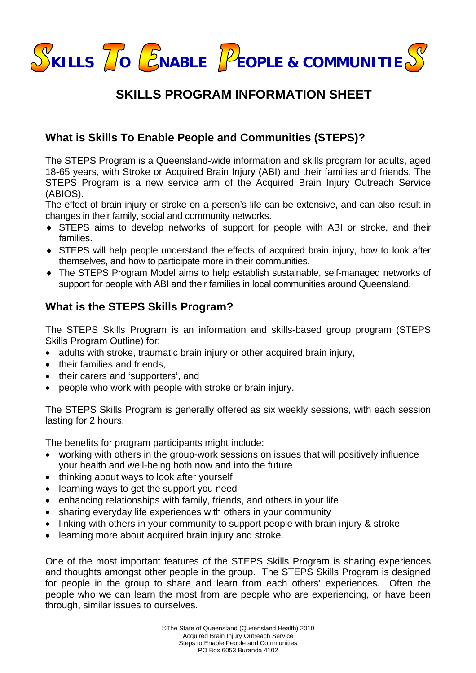

# **SKILLS PROGRAM INFORMATION SHEET**

## **What is Skills To Enable People and Communities (STEPS)?**

The STEPS Program is a Queensland-wide information and skills program for adults, aged 18-65 years, with Stroke or Acquired Brain Injury (ABI) and their families and friends. The STEPS Program is a new service arm of the Acquired Brain Injury Outreach Service (ABIOS).

The effect of brain injury or stroke on a person's life can be extensive, and can also result in changes in their family, social and community networks.

- ♦ STEPS aims to develop networks of support for people with ABI or stroke, and their families.
- ♦ STEPS will help people understand the effects of acquired brain injury, how to look after themselves, and how to participate more in their communities.
- ♦ The STEPS Program Model aims to help establish sustainable, self-managed networks of support for people with ABI and their families in local communities around Queensland.

## **What is the STEPS Skills Program?**

The STEPS Skills Program is an information and skills-based group program (STEPS Skills Program Outline) for:

- adults with stroke, traumatic brain injury or other acquired brain injury,
- their families and friends.
- their carers and 'supporters', and
- people who work with people with stroke or brain injury.

The STEPS Skills Program is generally offered as six weekly sessions, with each session lasting for 2 hours.

The benefits for program participants might include:

- working with others in the group-work sessions on issues that will positively influence your health and well-being both now and into the future
- thinking about ways to look after yourself
- learning ways to get the support you need
- enhancing relationships with family, friends, and others in your life
- sharing everyday life experiences with others in your community
- linking with others in your community to support people with brain injury & stroke
- learning more about acquired brain injury and stroke.

One of the most important features of the STEPS Skills Program is sharing experiences and thoughts amongst other people in the group. The STEPS Skills Program is designed for people in the group to share and learn from each others' experiences. Often the people who we can learn the most from are people who are experiencing, or have been through, similar issues to ourselves.